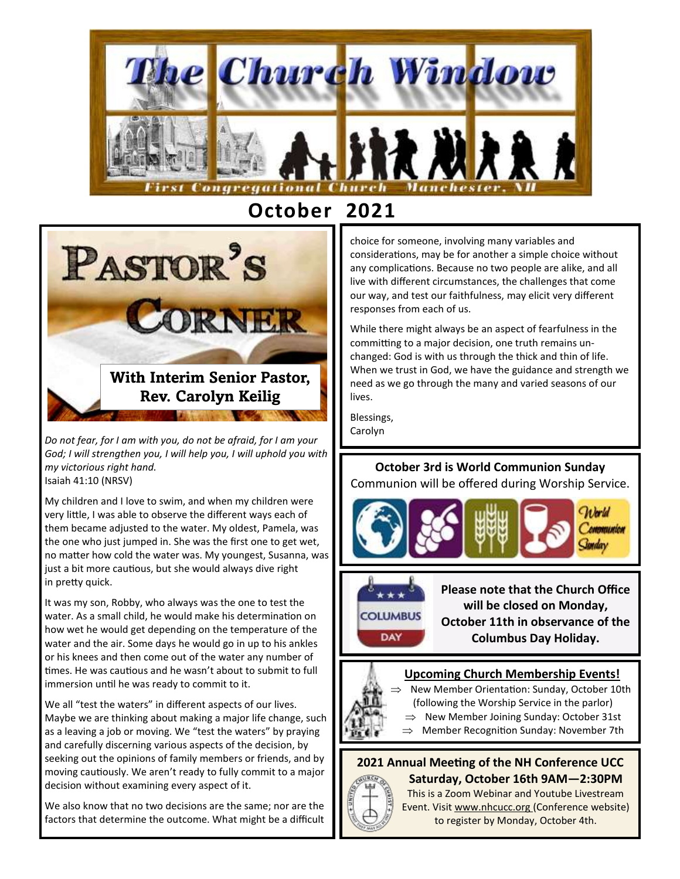

# **October 2021**



*Do not fear, for I am with you, do not be afraid, for I am your God; I will strengthen you, I will help you, I will uphold you with my victorious right hand.*  Isaiah 41:10 (NRSV)

My children and I love to swim, and when my children were very little, I was able to observe the different ways each of them became adjusted to the water. My oldest, Pamela, was the one who just jumped in. She was the first one to get wet, no matter how cold the water was. My youngest, Susanna, was just a bit more cautious, but she would always dive right in pretty quick.

It was my son, Robby, who always was the one to test the water. As a small child, he would make his determination on how wet he would get depending on the temperature of the water and the air. Some days he would go in up to his ankles or his knees and then come out of the water any number of times. He was cautious and he wasn't about to submit to full immersion until he was ready to commit to it.

We all "test the waters" in different aspects of our lives. Maybe we are thinking about making a major life change, such as a leaving a job or moving. We "test the waters" by praying and carefully discerning various aspects of the decision, by seeking out the opinions of family members or friends, and by moving cautiously. We aren't ready to fully commit to a major decision without examining every aspect of it.

We also know that no two decisions are the same; nor are the factors that determine the outcome. What might be a difficult choice for someone, involving many variables and considerations, may be for another a simple choice without any complications. Because no two people are alike, and all live with different circumstances, the challenges that come our way, and test our faithfulness, may elicit very different responses from each of us.

While there might always be an aspect of fearfulness in the committing to a major decision, one truth remains unchanged: God is with us through the thick and thin of life. When we trust in God, we have the guidance and strength we need as we go through the many and varied seasons of our lives.

Blessings, Carolyn

**October 3rd is World Communion Sunday**  Communion will be offered during Worship Service.



# **COLUMBUS** DAY

**Please note that the Church Office will be closed on Monday, October 11th in observance of the Columbus Day Holiday.**

#### **Upcoming Church Membership Events!**



 New Member Orientation: Sunday, October 10th (following the Worship Service in the parlor)  $\Rightarrow$  New Member Joining Sunday: October 31st  $\implies$  Member Recognition Sunday: November 7th

### **2021 Annual Meeting of the NH Conference UCC Saturday, October 16th 9AM—2:30PM**



This is a Zoom Webinar and Youtube Livestream Event. Visit www.nhcucc.org (Conference website) to register by Monday, October 4th.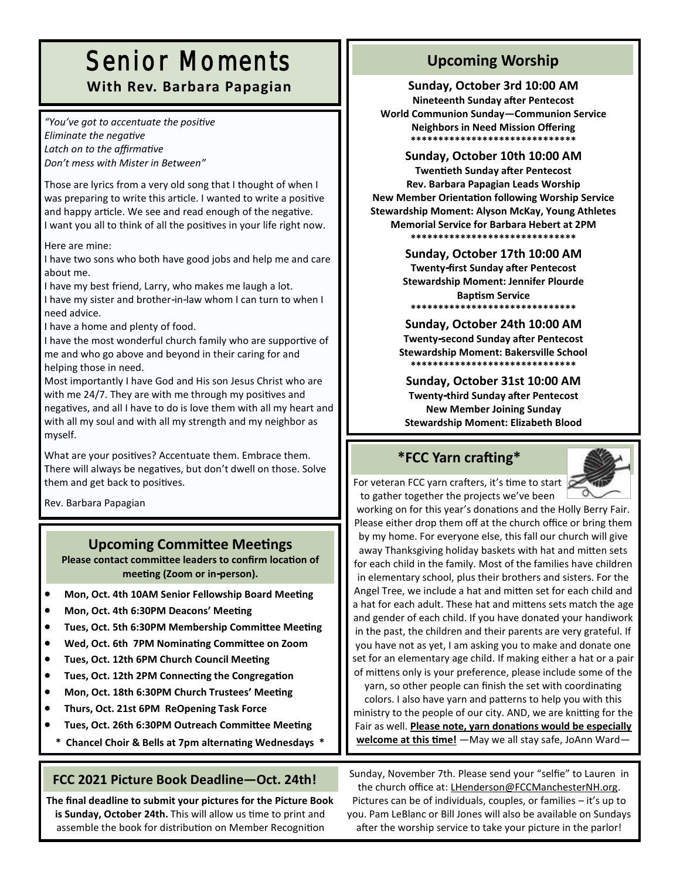# Senior Moments

*"You've got to accentuate the positive Eliminate the negative Latch on to the affirmative Don't mess with Mister in Between"*

Those are lyrics from a very old song that I thought of when I was preparing to write this article. I wanted to write a positive and happy article. We see and read enough of the negative. I want you all to think of all the positives in your life right now.

Here are mine:

I have two sons who both have good jobs and help me and care about me.

I have my best friend, Larry, who makes me laugh a lot.

I have my sister and brother-in-law whom I can turn to when I need advice.

I have a home and plenty of food.

I have the most wonderful church family who are supportive of me and who go above and beyond in their caring for and helping those in need.

Most importantly I have God and His son Jesus Christ who are with me 24/7. They are with me through my positives and negatives, and all I have to do is love them with all my heart and with all my soul and with all my strength and my neighbor as myself.

What are your positives? Accentuate them. Embrace them. There will always be negatives, but don't dwell on those. Solve them and get back to positives.

Rev. Barbara Papagian

## **Upcoming Committee Meetings**

**Please contact committee leaders to confirm location of meeting (Zoom or in-person).**

- **Mon, Oct. 4th 10AM Senior Fellowship Board Meeting**
- **Mon, Oct. 4th 6:30PM Deacons' Meeting**
- **Tues, Oct. 5th 6:30PM Membership Committee Meeting**
- **Wed, Oct. 6th 7PM Nominating Committee on Zoom**
- **Tues, Oct. 12th 6PM Church Council Meeting**
- **Tues, Oct. 12th 2PM Connecting the Congregation**
- **Mon, Oct. 18th 6:30PM Church Trustees' Meeting**
- **Thurs, Oct. 21st 6PM ReOpening Task Force**
- **Tues, Oct. 26th 6:30PM Outreach Committee Meeting**
	- **\* Chancel Choir & Bells at 7pm alternating Wednesdays \***

#### **FCC 2021 Picture Book Deadline—Oct. 24th!**

**The final deadline to submit your pictures for the Picture Book is Sunday, October 24th.** This will allow us time to print and assemble the book for distribution on Member Recognition

## **Upcoming Worship**

**With Rev. Barbara Papagian II** Sunday, October 3rd 10:00 AM

**Nineteenth Sunday after Pentecost World Communion Sunday—Communion Service Neighbors in Need Mission Offering \*\*\*\*\*\*\*\*\*\*\*\*\*\*\*\*\*\*\*\*\*\*\*\*\*\*\*\*\*\***

**Sunday, October 10th 10:00 AM**

**Twentieth Sunday after Pentecost Rev. Barbara Papagian Leads Worship New Member Orientation following Worship Service Stewardship Moment: Alyson McKay, Young Athletes Memorial Service for Barbara Hebert at 2PM \*\*\*\*\*\*\*\*\*\*\*\*\*\*\*\*\*\*\*\*\*\*\*\*\*\*\*\*\*\***

**Sunday, October 17th 10:00 AM**

**Twenty-first Sunday after Pentecost Stewardship Moment: Jennifer Plourde Baptism Service \*\*\*\*\*\*\*\*\*\*\*\*\*\*\*\*\*\*\*\*\*\*\*\*\*\*\*\*\*\***

**Sunday, October 24th 10:00 AM**

**Twenty-second Sunday after Pentecost Stewardship Moment: Bakersville School \*\*\*\*\*\*\*\*\*\*\*\*\*\*\*\*\*\*\*\*\*\*\*\*\*\*\*\*\*\***

**Sunday, October 31st 10:00 AM Twenty-third Sunday after Pentecost**

**New Member Joining Sunday Stewardship Moment: Elizabeth Blood**

## **\*FCC Yarn crafting\***



For veteran FCC yarn crafters, it's time to start to gather together the projects we've been

working on for this year's donations and the Holly Berry Fair. Please either drop them off at the church office or bring them by my home. For everyone else, this fall our church will give away Thanksgiving holiday baskets with hat and mitten sets for each child in the family. Most of the families have children in elementary school, plus their brothers and sisters. For the Angel Tree, we include a hat and mitten set for each child and a hat for each adult. These hat and mittens sets match the age and gender of each child. If you have donated your handiwork in the past, the children and their parents are very grateful. If you have not as yet, I am asking you to make and donate one set for an elementary age child. If making either a hat or a pair of mittens only is your preference, please include some of the

yarn, so other people can finish the set with coordinating colors. I also have yarn and patterns to help you with this ministry to the people of our city. AND, we are knitting for the Fair as well. **Please note, yarn donations would be especially welcome at this time!** —May we all stay safe, JoAnn Ward—

Sunday, November 7th. Please send your "selfie" to Lauren in the church office at: LHenderson@FCCManchesterNH.org. Pictures can be of individuals, couples, or families – it's up to you. Pam LeBlanc or Bill Jones will also be available on Sundays after the worship service to take your picture in the parlor!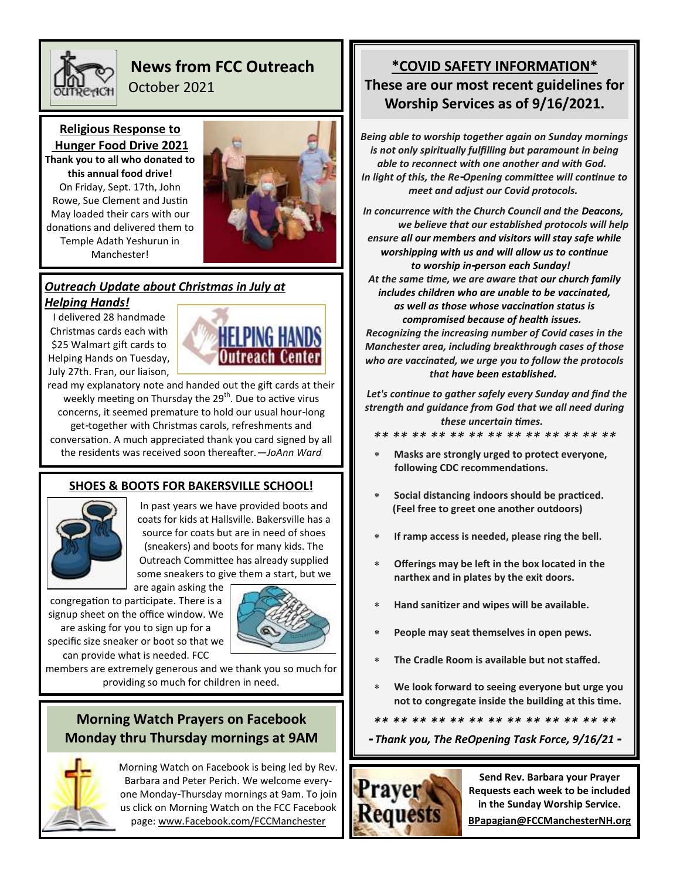

## **News from FCC Outreach**

October 2021

**Religious Response to Hunger Food Drive 2021 Thank you to all who donated to this annual food drive!** On Friday, Sept. 17th, John

Rowe, Sue Clement and Justin May loaded their cars with our donations and delivered them to Temple Adath Yeshurun in Manchester!



## *Outreach Update about Christmas in July at*

#### *Helping Hands!*

I delivered 28 handmade Christmas cards each with \$25 Walmart gift cards to Helping Hands on Tuesday, July 27th. Fran, our liaison,



read my explanatory note and handed out the gift cards at their weekly meeting on Thursday the  $29<sup>th</sup>$ . Due to active virus concerns, it seemed premature to hold our usual hour-long get-together with Christmas carols, refreshments and conversation. A much appreciated thank you card signed by all the residents was received soon thereafter*.—JoAnn Ward*

#### **SHOES & BOOTS FOR BAKERSVILLE SCHOOL!**



In past years we have provided boots and coats for kids at Hallsville. Bakersville has a source for coats but are in need of shoes (sneakers) and boots for many kids. The Outreach Committee has already supplied some sneakers to give them a start, but we are again asking the

congregation to participate. There is a signup sheet on the office window. We are asking for you to sign up for a specific size sneaker or boot so that we can provide what is needed. FCC



members are extremely generous and we thank you so much for providing so much for children in need.

## **Morning Watch Prayers on Facebook Monday thru Thursday mornings at 9AM**



Morning Watch on Facebook is being led by Rev. Barbara and Peter Perich. We welcome everyone Monday-Thursday mornings at 9am. To join us click on Morning Watch on the FCC Facebook page: www.Facebook.com/FCCManchester

## **\*COVID SAFETY INFORMATION\* These are our most recent guidelines for Worship Services as of 9/16/2021.**

*Being able to worship together again on Sunday mornings is not only spiritually fulfilling but paramount in being able to reconnect with one another and with God.  In light of this, the Re-Opening committee will continue to meet and adjust our Covid protocols.*

*In concurrence with the Church Council and the Deacons,                we believe that our established protocols will help ensure all our members and visitors will stay safe while worshipping with us and will allow us to continue to worship in-person each Sunday!  At the same time, we are aware that our church family includes children who are unable to be vaccinated, as well as those whose vaccination status is compromised because of health issues. Recognizing the increasing number of Covid cases in the* 

*Manchester area, including breakthrough cases of those who are vaccinated, we urge you to follow the protocols that have been established.*

*Let's continue to gather safely every Sunday and find the strength and guidance from God that we all need during these uncertain times.*

- *\*\* \*\* \*\* \*\* \*\* \*\* \*\* \*\* \*\* \*\* \*\* \*\* \*\**
- **Masks are strongly urged to protect everyone, following CDC recommendations.**
- **Social distancing indoors should be practiced. (Feel free to greet one another outdoors)**
- **If ramp access is needed, please ring the bell.**
- **Offerings may be left in the box located in the narthex and in plates by the exit doors.**
- **Hand sanitizer and wipes will be available.**
- **People may seat themselves in open pews.**
- **The Cradle Room is available but not staffed.**
- **We look forward to seeing everyone but urge you not to congregate inside the building at this time.**

*\*\* \*\* \*\* \*\* \*\* \*\* \*\* \*\* \*\* \*\* \*\* \*\* \*\** 

*- Thank you, The ReOpening Task Force, 9/16/21 -*



**Send Rev. Barbara your Prayer Requests each week to be included in the Sunday Worship Service.**

**BPapagian@FCCManchesterNH.org**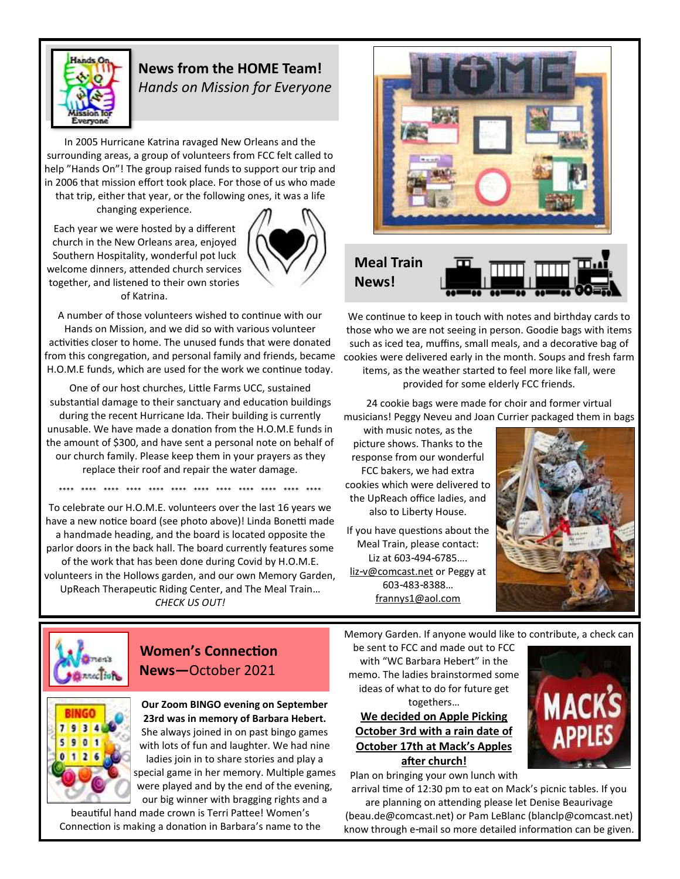

## **News from the HOME Team!** *Hands on Mission for Everyone*

In 2005 Hurricane Katrina ravaged New Orleans and the surrounding areas, a group of volunteers from FCC felt called to help "Hands On"! The group raised funds to support our trip and in 2006 that mission effort took place. For those of us who made that trip, either that year, or the following ones, it was a life

changing experience.

Each year we were hosted by a different church in the New Orleans area, enjoyed Southern Hospitality, wonderful pot luck welcome dinners, attended church services together, and listened to their own stories of Katrina.



A number of those volunteers wished to continue with our Hands on Mission, and we did so with various volunteer activities closer to home. The unused funds that were donated from this congregation, and personal family and friends, became H.O.M.E funds, which are used for the work we continue today.

One of our host churches, Little Farms UCC, sustained substantial damage to their sanctuary and education buildings during the recent Hurricane Ida. Their building is currently unusable. We have made a donation from the H.O.M.E funds in the amount of \$300, and have sent a personal note on behalf of our church family. Please keep them in your prayers as they replace their roof and repair the water damage.

\*\*\*\* \*\*\*\* \*\*\*\* \*\*\*\* \*\*\*\* \*\*\*\* \*\*\*\* \*\*\*\* \*\*\*\* \*\*\*\* \*\*\*\* \*\*\*\*

To celebrate our H.O.M.E. volunteers over the last 16 years we have a new notice board (see photo above)! Linda Bonetti made a handmade heading, and the board is located opposite the parlor doors in the back hall. The board currently features some of the work that has been done during Covid by H.O.M.E. volunteers in the Hollows garden, and our own Memory Garden, UpReach Therapeutic Riding Center, and The Meal Train… *CHECK US OUT!* 



We continue to keep in touch with notes and birthday cards to those who we are not seeing in person. Goodie bags with items such as iced tea, muffins, small meals, and a decorative bag of cookies were delivered early in the month. Soups and fresh farm items, as the weather started to feel more like fall, were provided for some elderly FCC friends.

24 cookie bags were made for choir and former virtual musicians! Peggy Neveu and Joan Currier packaged them in bags

with music notes, as the picture shows. Thanks to the response from our wonderful FCC bakers, we had extra cookies which were delivered to the UpReach office ladies, and also to Liberty House.

If you have questions about the Meal Train, please contact: Liz at 603-494-6785…. [liz-v@comcast.net](mailto:liz-v@comcast.net) or Peggy at 603-483-8388… frannys1@aol.com







 **Women's Connection News—**October 2021

**Our Zoom BINGO evening on September 23rd was in memory of Barbara Hebert.** She always joined in on past bingo games with lots of fun and laughter. We had nine ladies join in to share stories and play a special game in her memory. Multiple games were played and by the end of the evening, our big winner with bragging rights and a

beautiful hand made crown is Terri Pattee! Women's Connection is making a donation in Barbara's name to the

be sent to FCC and made out to FCC with "WC Barbara Hebert" in the memo. The ladies brainstormed some ideas of what to do for future get togethers…

### **We decided on Apple Picking October 3rd with a rain date of October 17th at Mack's Apples after church!**

Plan on bringing your own lunch with

arrival time of 12:30 pm to eat on Mack's picnic tables. If you are planning on attending please let Denise Beaurivage (beau.de@comcast.net) or Pam LeBlanc (blanclp@comcast.net) know through e-mail so more detailed information can be given.

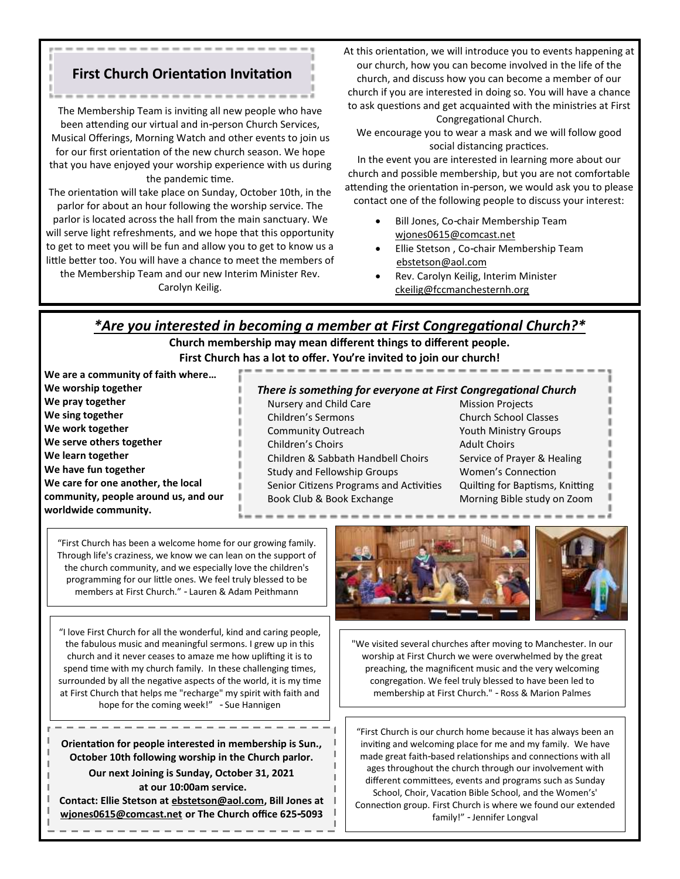## **First Church Orientation Invitation**

The Membership Team is inviting all new people who have been attending our virtual and in-person Church Services, Musical Offerings, Morning Watch and other events to join us for our first orientation of the new church season. We hope that you have enjoyed your worship experience with us during the pandemic time.

The orientation will take place on Sunday, October 10th, in the parlor for about an hour following the worship service. The parlor is located across the hall from the main sanctuary. We will serve light refreshments, and we hope that this opportunity to get to meet you will be fun and allow you to get to know us a little better too. You will have a chance to meet the members of the Membership Team and our new Interim Minister Rev.

Carolyn Keilig.

At this orientation, we will introduce you to events happening at our church, how you can become involved in the life of the church, and discuss how you can become a member of our church if you are interested in doing so. You will have a chance to ask questions and get acquainted with the ministries at First Congregational Church.

We encourage you to wear a mask and we will follow good social distancing practices.

In the event you are interested in learning more about our church and possible membership, but you are not comfortable attending the orientation in-person, we would ask you to please contact one of the following people to discuss your interest:

- Bill Jones, Co-chair Membership Team wjones0615@comcast.net
- Ellie Stetson , Co-chair Membership Team ebstetson@aol.com
- Rev. Carolyn Keilig, Interim Minister ckeilig@fccmanchesternh.org

## *\*Are you interested in becoming a member at First Congregational Church?\**

**Church membership may mean different things to different people. First Church has a lot to offer. You're invited to join our church!**

**We are a community of faith where… We worship together We pray together We sing together We work together We serve others together We learn together We have fun together We care for one another, the local community, people around us, and our worldwide community.**

#### *There is something for everyone at First Congregational Church*

Nursery and Child Care Mission Projects Children's Sermons Church School Classes **Community Outreach Community Outreach Community Outreach** Children's Choirs **Adult Choirs Adult Choirs** Children & Sabbath Handbell Choirs Service of Prayer & Healing Study and Fellowship Groups Women's Connection Senior Citizens Programs and Activities Quilting for Baptisms, Knitting Book Club & Book Exchange Morning Bible study on Zoom

"First Church has been a welcome home for our growing family. Through life's craziness, we know we can lean on the support of the church community, and we especially love the children's programming for our little ones. We feel truly blessed to be members at First Church." - Lauren & Adam Peithmann

"I love First Church for all the wonderful, kind and caring people, the fabulous music and meaningful sermons. I grew up in this church and it never ceases to amaze me how uplifting it is to spend time with my church family. In these challenging times, surrounded by all the negative aspects of the world, it is my time at First Church that helps me "recharge" my spirit with faith and hope for the coming week!" - Sue Hannigen

**Orientation for people interested in membership is Sun., October 10th following worship in the Church parlor. Our next Joining is Sunday, October 31, 2021 at our 10:00am service. Contact: Ellie Stetson at [ebstetson@aol.com,](mailto:ebstetson@aol.com) Bill Jones at [wjones0615@comcast.net](mailto:wjones0615@comcast.net) or The Church office 625-5093**



"We visited several churches after moving to Manchester. In our worship at First Church we were overwhelmed by the great preaching, the magnificent music and the very welcoming congregation. We feel truly blessed to have been led to membership at First Church." - Ross & Marion Palmes

"First Church is our church home because it has always been an inviting and welcoming place for me and my family. We have made great faith-based relationships and connections with all ages throughout the church through our involvement with different committees, events and programs such as Sunday School, Choir, Vacation Bible School, and the Women's' Connection group. First Church is where we found our extended family!" - Jennifer Longval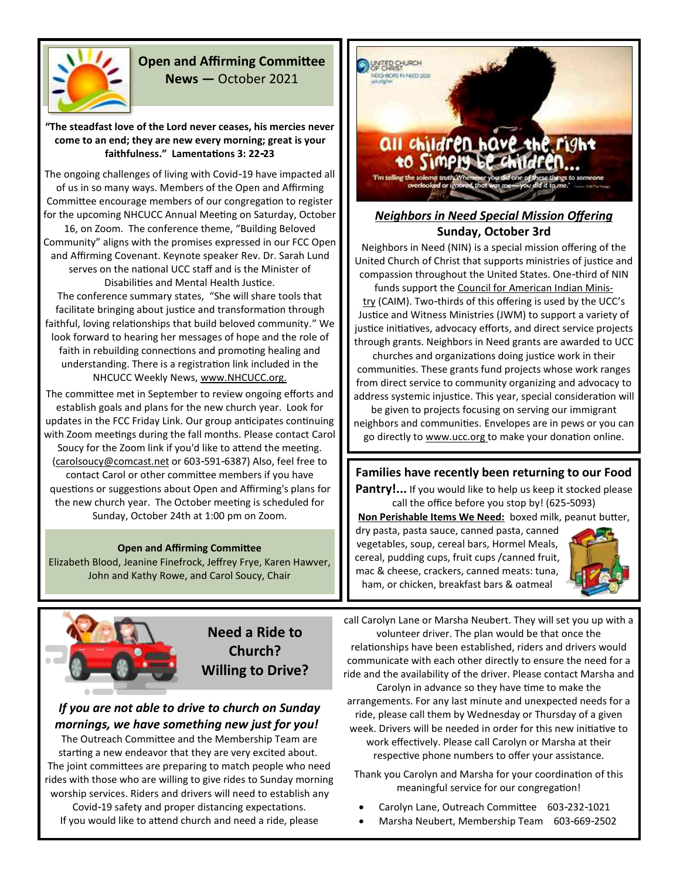

## **Open and Affirming Committee News —** October 2021

**"The steadfast love of the Lord never ceases, his mercies never come to an end; they are new every morning; great is your faithfulness." Lamentations 3: 22-23**

The ongoing challenges of living with Covid-19 have impacted all of us in so many ways. Members of the Open and Affirming Committee encourage members of our congregation to register for the upcoming NHCUCC Annual Meeting on Saturday, October

16, on Zoom. The conference theme, "Building Beloved Community" aligns with the promises expressed in our FCC Open and Affirming Covenant. Keynote speaker Rev. Dr. Sarah Lund serves on the national UCC staff and is the Minister of Disabilities and Mental Health Justice.

The conference summary states, "She will share tools that facilitate bringing about justice and transformation through faithful, loving relationships that build beloved community." We look forward to hearing her messages of hope and the role of faith in rebuilding connections and promoting healing and understanding. There is a registration link included in the NHCUCC Weekly News, [www.NHCUCC.org.](https:www.nhcucc.org)

The committee met in September to review ongoing efforts and establish goals and plans for the new church year. Look for updates in the FCC Friday Link. Our group anticipates continuing with Zoom meetings during the fall months. Please contact Carol Soucy for the Zoom link if you'd like to attend the meeting. [\(carolsoucy@comcast.net](mailto:carolsoucy@comcast.net) or 603-591-6387) Also, feel free to contact Carol or other committee members if you have questions or suggestions about Open and Affirming's plans for the new church year. The October meeting is scheduled for Sunday, October 24th at 1:00 pm on Zoom.

#### **Open and Affirming Committee**

Elizabeth Blood, Jeanine Finefrock, Jeffrey Frye, Karen Hawver, John and Kathy Rowe, and Carol Soucy, Chair



## *Neighbors in Need Special Mission Offering*  **Sunday, October 3rd**

Neighbors in Need (NIN) is a special mission offering of the United Church of Christ that supports ministries of justice and compassion throughout the United States. One-third of NIN

funds support the [Council for American Indian Minis](http://www.ucc.org/faq_what_is_caim)[try](http://www.ucc.org/faq_what_is_caim) (CAIM). Two-thirds of this offering is used by the UCC's Justice and Witness Ministries (JWM) to support a variety of justice initiatives, advocacy efforts, and direct service projects through grants. Neighbors in Need grants are awarded to UCC

churches and organizations doing justice work in their communities. These grants fund projects whose work ranges from direct service to community organizing and advocacy to address systemic injustice. This year, special consideration will

be given to projects focusing on serving our immigrant neighbors and communities. Envelopes are in pews or you can go directly to www.ucc.org to make your donation online.

## **Families have recently been returning to our Food**

Pantry!... If you would like to help us keep it stocked please call the office before you stop by! (625-5093)

**Non Perishable Items We Need:** boxed milk, peanut butter,

dry pasta, pasta sauce, canned pasta, canned vegetables, soup, cereal bars, Hormel Meals, cereal, pudding cups, fruit cups /canned fruit, mac & cheese, crackers, canned meats: tuna, ham, or chicken, breakfast bars & oatmeal





## *If you are not able to drive to church on Sunday mornings, we have something new just for you!*

The Outreach Committee and the Membership Team are starting a new endeavor that they are very excited about. The joint committees are preparing to match people who need rides with those who are willing to give rides to Sunday morning worship services. Riders and drivers will need to establish any Covid-19 safety and proper distancing expectations. If you would like to attend church and need a ride, please

call Carolyn Lane or Marsha Neubert. They will set you up with a volunteer driver. The plan would be that once the relationships have been established, riders and drivers would

communicate with each other directly to ensure the need for a ride and the availability of the driver. Please contact Marsha and Carolyn in advance so they have time to make the

arrangements. For any last minute and unexpected needs for a ride, please call them by Wednesday or Thursday of a given week. Drivers will be needed in order for this new initiative to work effectively. Please call Carolyn or Marsha at their respective phone numbers to offer your assistance.

Thank you Carolyn and Marsha for your coordination of this meaningful service for our congregation!

- Carolyn Lane, Outreach Committee 603-232-1021
- Marsha Neubert, Membership Team 603-669-2502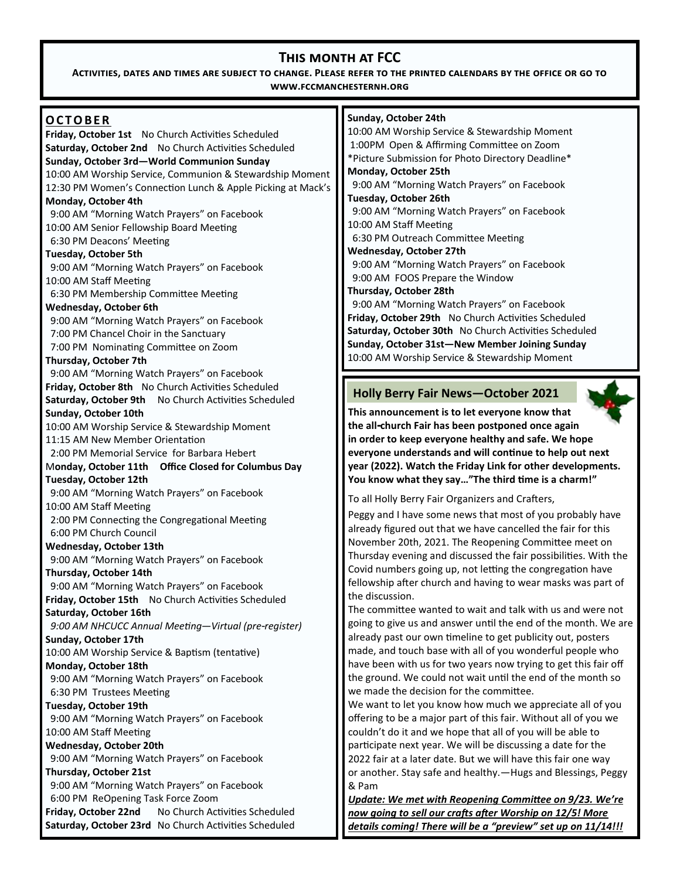## **This month at FCC**

**Activities, dates and times are subject to change. Please refer to the printed calendars by the office or go to www.fccmanchesternh.org**

| <b>OCTOBER</b>                                              | Sunday, October 24th                                                                                                      |
|-------------------------------------------------------------|---------------------------------------------------------------------------------------------------------------------------|
| Friday, October 1st No Church Activities Scheduled          | 10:00 AM Worship Service & Stewardship Moment                                                                             |
| Saturday, October 2nd No Church Activities Scheduled        | 1:00PM Open & Affirming Committee on Zoom                                                                                 |
| Sunday, October 3rd-World Communion Sunday                  | *Picture Submission for Photo Directory Deadline*                                                                         |
| 10:00 AM Worship Service, Communion & Stewardship Moment    | Monday, October 25th                                                                                                      |
| 12:30 PM Women's Connection Lunch & Apple Picking at Mack's | 9:00 AM "Morning Watch Prayers" on Facebook                                                                               |
| Monday, October 4th                                         | Tuesday, October 26th                                                                                                     |
| 9:00 AM "Morning Watch Prayers" on Facebook                 | 9:00 AM "Morning Watch Prayers" on Facebook                                                                               |
| 10:00 AM Senior Fellowship Board Meeting                    | 10:00 AM Staff Meeting                                                                                                    |
| 6:30 PM Deacons' Meeting                                    | 6:30 PM Outreach Committee Meeting                                                                                        |
| <b>Tuesday, October 5th</b>                                 | <b>Wednesday, October 27th</b>                                                                                            |
| 9:00 AM "Morning Watch Prayers" on Facebook                 | 9:00 AM "Morning Watch Prayers" on Facebook                                                                               |
| 10:00 AM Staff Meeting                                      | 9:00 AM FOOS Prepare the Window                                                                                           |
| 6:30 PM Membership Committee Meeting                        | Thursday, October 28th                                                                                                    |
| <b>Wednesday, October 6th</b>                               | 9:00 AM "Morning Watch Prayers" on Facebook                                                                               |
| 9:00 AM "Morning Watch Prayers" on Facebook                 | Friday, October 29th No Church Activities Scheduled                                                                       |
| 7:00 PM Chancel Choir in the Sanctuary                      | Saturday, October 30th No Church Activities Scheduled                                                                     |
| 7:00 PM Nominating Committee on Zoom                        | Sunday, October 31st-New Member Joining Sunday                                                                            |
| Thursday, October 7th                                       | 10:00 AM Worship Service & Stewardship Moment                                                                             |
| 9:00 AM "Morning Watch Prayers" on Facebook                 |                                                                                                                           |
| Friday, October 8th No Church Activities Scheduled          | Holly Berry Fair News-October 2021                                                                                        |
| Saturday, October 9th No Church Activities Scheduled        |                                                                                                                           |
| Sunday, October 10th                                        | This announcement is to let everyone know that                                                                            |
| 10:00 AM Worship Service & Stewardship Moment               | the all-church Fair has been postponed once again                                                                         |
| 11:15 AM New Member Orientation                             | in order to keep everyone healthy and safe. We hope                                                                       |
| 2:00 PM Memorial Service for Barbara Hebert                 | everyone understands and will continue to help out next                                                                   |
| Monday, October 11th  Office Closed for Columbus Day        | year (2022). Watch the Friday Link for other developments.                                                                |
| Tuesday, October 12th                                       | You know what they say"The third time is a charm!"                                                                        |
| 9:00 AM "Morning Watch Prayers" on Facebook                 | To all Holly Berry Fair Organizers and Crafters,                                                                          |
| 10:00 AM Staff Meeting                                      | Peggy and I have some news that most of you probably have                                                                 |
| 2:00 PM Connecting the Congregational Meeting               | already figured out that we have cancelled the fair for this                                                              |
| 6:00 PM Church Council                                      | November 20th, 2021. The Reopening Committee meet on                                                                      |
| <b>Wednesday, October 13th</b>                              | Thursday evening and discussed the fair possibilities. With the                                                           |
| 9:00 AM "Morning Watch Prayers" on Facebook                 | Covid numbers going up, not letting the congregation have                                                                 |
| Thursday, October 14th                                      | fellowship after church and having to wear masks was part of                                                              |
| 9:00 AM "Morning Watch Prayers" on Facebook                 | the discussion.                                                                                                           |
| Friday, October 15th No Church Activities Scheduled         | The committee wanted to wait and talk with us and were not                                                                |
| Saturday, October 16th                                      | going to give us and answer until the end of the month. We are                                                            |
| 9:00 AM NHCUCC Annual Meeting-Virtual (pre-register)        | already past our own timeline to get publicity out, posters                                                               |
| Sunday, October 17th                                        | made, and touch base with all of you wonderful people who                                                                 |
| 10:00 AM Worship Service & Baptism (tentative)              | have been with us for two years now trying to get this fair off                                                           |
| Monday, October 18th                                        | the ground. We could not wait until the end of the month so                                                               |
| 9:00 AM "Morning Watch Prayers" on Facebook                 | we made the decision for the committee.                                                                                   |
| 6:30 PM Trustees Meeting                                    | We want to let you know how much we appreciate all of you                                                                 |
| Tuesday, October 19th                                       | offering to be a major part of this fair. Without all of you we                                                           |
| 9:00 AM "Morning Watch Prayers" on Facebook                 |                                                                                                                           |
| 10:00 AM Staff Meeting<br><b>Wednesday, October 20th</b>    | couldn't do it and we hope that all of you will be able to<br>participate next year. We will be discussing a date for the |
| 9:00 AM "Morning Watch Prayers" on Facebook                 | 2022 fair at a later date. But we will have this fair one way                                                             |
| Thursday, October 21st                                      |                                                                                                                           |
| 9:00 AM "Morning Watch Prayers" on Facebook                 | or another. Stay safe and healthy. - Hugs and Blessings, Peggy<br>& Pam                                                   |
| 6:00 PM ReOpening Task Force Zoom                           | Update: We met with Reopening Committee on 9/23. We're                                                                    |
| Friday, October 22nd<br>No Church Activities Scheduled      | now going to sell our crafts after Worship on 12/5! More                                                                  |
| Saturday, October 23rd No Church Activities Scheduled       |                                                                                                                           |
|                                                             | details coming! There will be a "preview" set up on 11/14!!!                                                              |